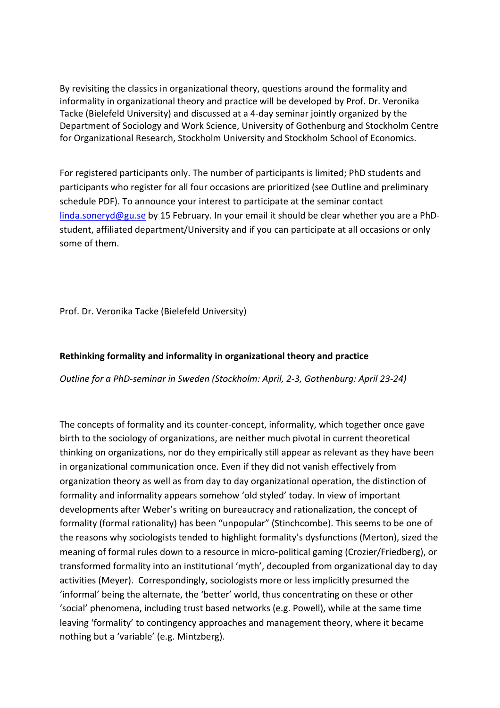By revisiting the classics in organizational theory, questions around the formality and informality in organizational theory and practice will be developed by Prof. Dr. Veronika Tacke (Bielefeld University) and discussed at a 4-day seminar jointly organized by the Department of Sociology and Work Science, University of Gothenburg and Stockholm Centre for Organizational Research, Stockholm University and Stockholm School of Economics.

For registered participants only. The number of participants is limited; PhD students and participants who register for all four occasions are prioritized (see Outline and preliminary schedule PDF). To announce your interest to participate at the seminar contact linda.soneryd@gu.se by 15 February. In your email it should be clear whether you are a PhDstudent, affiliated department/University and if you can participate at all occasions or only some of them.

Prof. Dr. Veronika Tacke (Bielefeld University)

## **Rethinking formality and informality in organizational theory and practice**

*Outline for a PhD-seminar in Sweden (Stockholm: April, 2-3, Gothenburg: April 23-24)* 

The concepts of formality and its counter-concept, informality, which together once gave birth to the sociology of organizations, are neither much pivotal in current theoretical thinking on organizations, nor do they empirically still appear as relevant as they have been in organizational communication once. Even if they did not vanish effectively from organization theory as well as from day to day organizational operation, the distinction of formality and informality appears somehow 'old styled' today. In view of important developments after Weber's writing on bureaucracy and rationalization, the concept of formality (formal rationality) has been "unpopular" (Stinchcombe). This seems to be one of the reasons why sociologists tended to highlight formality's dysfunctions (Merton), sized the meaning of formal rules down to a resource in micro-political gaming (Crozier/Friedberg), or transformed formality into an institutional 'myth', decoupled from organizational day to day activities (Meyer). Correspondingly, sociologists more or less implicitly presumed the 'informal' being the alternate, the 'better' world, thus concentrating on these or other 'social' phenomena, including trust based networks (e.g. Powell), while at the same time leaving 'formality' to contingency approaches and management theory, where it became nothing but a 'variable' (e.g. Mintzberg).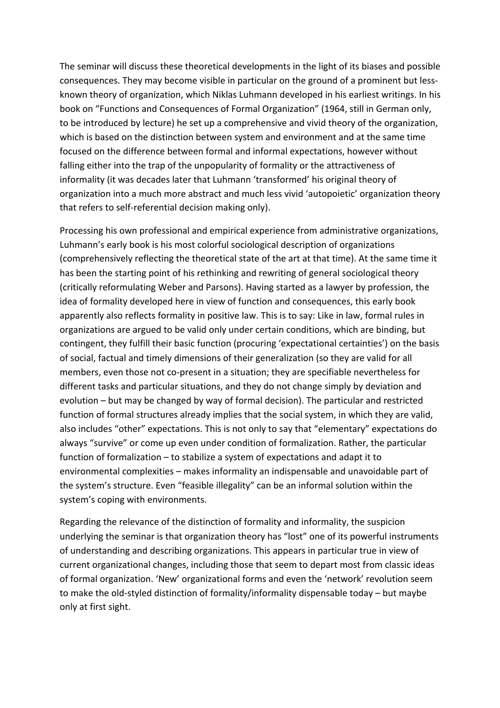The seminar will discuss these theoretical developments in the light of its biases and possible consequences. They may become visible in particular on the ground of a prominent but lessknown theory of organization, which Niklas Luhmann developed in his earliest writings. In his book on "Functions and Consequences of Formal Organization" (1964, still in German only, to be introduced by lecture) he set up a comprehensive and vivid theory of the organization, which is based on the distinction between system and environment and at the same time focused on the difference between formal and informal expectations, however without falling either into the trap of the unpopularity of formality or the attractiveness of informality (it was decades later that Luhmann 'transformed' his original theory of organization into a much more abstract and much less vivid 'autopoietic' organization theory that refers to self-referential decision making only).

Processing his own professional and empirical experience from administrative organizations, Luhmann's early book is his most colorful sociological description of organizations (comprehensively reflecting the theoretical state of the art at that time). At the same time it has been the starting point of his rethinking and rewriting of general sociological theory (critically reformulating Weber and Parsons). Having started as a lawyer by profession, the idea of formality developed here in view of function and consequences, this early book apparently also reflects formality in positive law. This is to say: Like in law, formal rules in organizations are argued to be valid only under certain conditions, which are binding, but contingent, they fulfill their basic function (procuring 'expectational certainties') on the basis of social, factual and timely dimensions of their generalization (so they are valid for all members, even those not co-present in a situation; they are specifiable nevertheless for different tasks and particular situations, and they do not change simply by deviation and evolution – but may be changed by way of formal decision). The particular and restricted function of formal structures already implies that the social system, in which they are valid, also includes "other" expectations. This is not only to say that "elementary" expectations do always "survive" or come up even under condition of formalization. Rather, the particular function of formalization  $-$  to stabilize a system of expectations and adapt it to environmental complexities – makes informality an indispensable and unavoidable part of the system's structure. Even "feasible illegality" can be an informal solution within the system's coping with environments.

Regarding the relevance of the distinction of formality and informality, the suspicion underlying the seminar is that organization theory has "lost" one of its powerful instruments of understanding and describing organizations. This appears in particular true in view of current organizational changes, including those that seem to depart most from classic ideas of formal organization. 'New' organizational forms and even the 'network' revolution seem to make the old-styled distinction of formality/informality dispensable today – but maybe only at first sight.